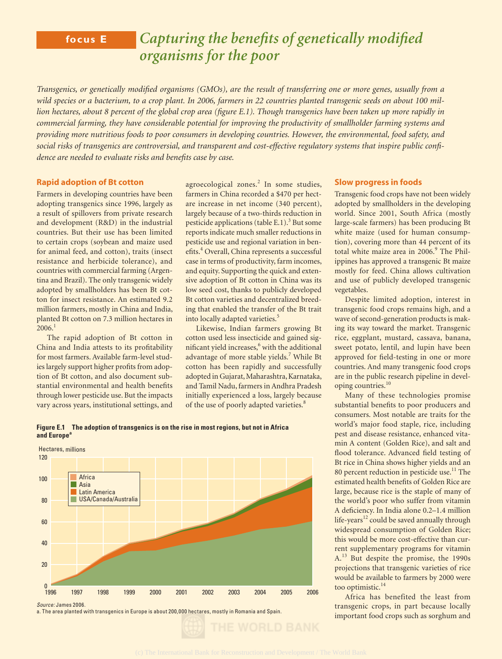# **focus E** *Capturing the benefits of genetically modified organisms for the poor*

*Transgenics, or genetically modified organisms (GMOs), are the result of transferring one or more genes, usually from a wild species or a bacterium, to a crop plant. In 2006, farmers in 22 countries planted transgenic seeds on about 100 million hectares, about 8 percent of the global crop area (figure E.1). Though transgenics have been taken up more rapidly in commercial farming, they have considerable potential for improving the productivity of smallholder farming systems and providing more nutritious foods to poor consumers in developing countries. However, the environmental, food safety, and social risks of transgenics are controversial, and transparent and cost-effective regulatory systems that inspire public confi dence are needed to evaluate risks and benefits case by case.* 

### **Rapid adoption of Bt cotton**

Farmers in developing countries have been adopting transgenics since 1996, largely as a result of spillovers from private research and development (R&D) in the industrial countries. But their use has been limited to certain crops (soybean and maize used for animal feed, and cotton), traits (insect resistance and herbicide tolerance), and countries with commercial farming (Argentina and Brazil). The only transgenic widely adopted by smallholders has been Bt cotton for insect resistance. An estimated 9.2 million farmers, mostly in China and India, planted Bt cotton on 7.3 million hectares in  $2006<sup>1</sup>$ 

The rapid adoption of Bt cotton in China and India attests to its profitability for most farmers. Available farm-level studies largely support higher profits from adoption of Bt cotton, and also document substantial environmental and health benefits through lower pesticide use. But the impacts vary across years, institutional settings, and

agroecological zones.<sup>2</sup> In some studies, farmers in China recorded a \$470 per hectare increase in net income (340 percent), largely because of a two-thirds reduction in pesticide applications (table E.1).<sup>3</sup> But some reports indicate much smaller reductions in pesticide use and regional variation in benefits.<sup>4</sup> Overall, China represents a successful case in terms of productivity, farm incomes, and equity. Supporting the quick and extensive adoption of Bt cotton in China was its low seed cost, thanks to publicly developed Bt cotton varieties and decentralized breeding that enabled the transfer of the Bt trait into locally adapted varieties.<sup>5</sup>

Likewise, Indian farmers growing Bt cotton used less insecticide and gained significant yield increases,<sup>6</sup> with the additional advantage of more stable yields.<sup>7</sup> While Bt cotton has been rapidly and successfully adopted in Gujarat, Maharashtra, Karnataka, and Tamil Nadu, farmers in Andhra Pradesh initially experienced a loss, largely because of the use of poorly adapted varieties.<sup>8</sup>



**Figure E.1 The adoption of transgenics is on the rise in most regions, but not in Africa** 

Source: James 2006.

a. The area planted with transgenics in Europe is about 200,000 hectares, mostly in Romania and Spain.

## **Slow progress in foods**

Transgenic food crops have not been widely adopted by smallholders in the developing world. Since 2001, South Africa (mostly large-scale farmers) has been producing Bt white maize (used for human consumption), covering more than 44 percent of its total white maize area in 2006.<sup>9</sup> The Philippines has approved a transgenic Bt maize mostly for feed. China allows cultivation and use of publicly developed transgenic vegetables.

Despite limited adoption, interest in transgenic food crops remains high, and a wave of second-generation products is making its way toward the market. Transgenic rice, eggplant, mustard, cassava, banana, sweet potato, lentil, and lupin have been approved for field-testing in one or more countries. And many transgenic food crops are in the public research pipeline in developing countries.<sup>10</sup>

Many of these technologies promise substantial benefits to poor producers and consumers. Most notable are traits for the world's major food staple, rice, including pest and disease resistance, enhanced vitamin A content (Golden Rice), and salt and flood tolerance. Advanced field testing of Bt rice in China shows higher yields and an 80 percent reduction in pesticide use.<sup>11</sup> The estimated health benefits of Golden Rice are large, because rice is the staple of many of the world's poor who suffer from vitamin A deficiency. In India alone 0.2-1.4 million life-years $^{12}$  could be saved annually through widespread consumption of Golden Rice; this would be more cost-effective than current supplementary programs for vitamin A.<sup>13</sup> But despite the promise, the 1990s projections that transgenic varieties of rice would be available to farmers by 2000 were too optimistic.<sup>14</sup>

Africa has benefited the least from transgenic crops, in part because locally important food crops such as sorghum and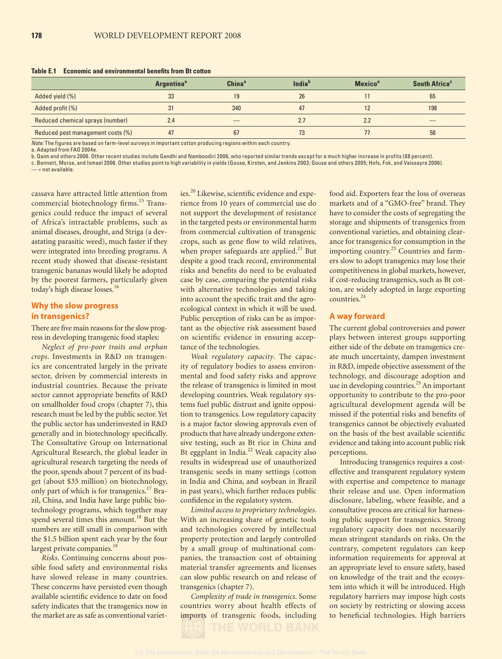**Table E.1 Economic and environmental benefits from Bt cotton** 

|                                   | <b>Argentina</b> <sup>a</sup> | China <sup>a</sup> | India <sup>b</sup> | <b>Mexico<sup>a</sup></b> | South Africa <sup>c</sup> |
|-----------------------------------|-------------------------------|--------------------|--------------------|---------------------------|---------------------------|
| Added yield (%)                   | 33                            | 19                 | 26                 |                           | 65                        |
| Added profit (%)                  | 31                            | 340                | 47                 |                           | 198                       |
| Reduced chemical sprays (number)  | 2.4                           |                    | 2.7                | 2.2                       |                           |
| Reduced pest management costs (%) | 47                            | 67                 | 73                 |                           | 58                        |

Note: The figures are based on farm-level surveys in important cotton producing regions within each country.

a. Adapted from FAO 2004e.

b. Qaim and others 2006. Other recent studies include Gandhi and Namboodiri 2006, who reported similar trends except for a much higher increase in profits (88 percent).

c. Bennett, Morse, and Ismael 2006. Other studies point to high variability in yields (Gouse, Kirsten, and Jenkins 2003; Gouse and others 2005; Hofs, Fok, and Vaissayre 2006).

 $=$  not available.

cassava have attracted little attention from commercial biotechnology firms.<sup>15</sup> Transgenics could reduce the impact of several of Africa's intractable problems, such as animal diseases, drought, and Striga (a devastating parasitic weed), much faster if they were integrated into breeding programs. A recent study showed that disease-resistant transgenic bananas would likely be adopted by the poorest farmers, particularly given today's high disease losses.<sup>16</sup>

## **Why the slow progress in transgenics?**

There are five main reasons for the slow progress in developing transgenic food staples:

*Neglect of pro-poor traits and orphan crops*. Investments in R&D on transgenics are concentrated largely in the private sector, driven by commercial interests in industrial countries. Because the private sector cannot appropriate benefits of R&D on smallholder food crops (chapter 7), this research must be led by the public sector. Yet the public sector has underinvested in R&D generally and in biotechnology specifically. The Consultative Group on International Agricultural Research, the global leader in agricultural research targeting the needs of the poor, spends about 7 percent of its budget (about \$35 million) on biotechnology, only part of which is for transgenics.<sup>17</sup> Brazil, China, and India have large public biotechnology programs, which together may spend several times this amount.<sup>18</sup> But the numbers are still small in comparison with the \$1.5 billion spent each year by the four largest private companies.<sup>19</sup>

*Risks*. Continuing concerns about possible food safety and environmental risks have slowed release in many countries. These concerns have persisted even though available scientific evidence to date on food safety indicates that the transgenics now in the market are as safe as conventional varieties.<sup>20</sup> Likewise, scientific evidence and experience from 10 years of commercial use do not support the development of resistance in the targeted pests or environmental harm from commercial cultivation of transgenic crops, such as gene flow to wild relatives, when proper safeguards are applied.<sup>21</sup> But despite a good track record, environmental risks and benefits do need to be evaluated case by case, comparing the potential risks with alternative technologies and taking into account the specific trait and the agroecological context in which it will be used. Public perception of risks can be as important as the objective risk assessment based on scientific evidence in ensuring acceptance of the technologies.

*Weak regulatory capacity*. The capacity of regulatory bodies to assess environmental and food safety risks and approve the release of transgenics is limited in most developing countries. Weak regulatory systems fuel public distrust and ignite opposition to transgenics. Low regulatory capacity is a major factor slowing approvals even of products that have already undergone extensive testing, such as Bt rice in China and Bt eggplant in India.<sup>22</sup> Weak capacity also results in widespread use of unauthorized transgenic seeds in many settings (cotton in India and China, and soybean in Brazil in past years), which further reduces public confidence in the regulatory system.

*Limited access to proprietary technologies*. With an increasing share of genetic tools and technologies covered by intellectual property protection and largely controlled by a small group of multinational companies, the transaction cost of obtaining material transfer agreements and licenses can slow public research on and release of transgenics (chapter 7).

*Complexity of trade in transgenics*. Some countries worry about health effects of imports of transgenic foods, including

food aid. Exporters fear the loss of overseas markets and of a "GMO-free" brand. They have to consider the costs of segregating the storage and shipments of transgenics from conventional varieties, and obtaining clearance for transgenics for consumption in the importing country.<sup>23</sup> Countries and farmers slow to adopt transgenics may lose their competitiveness in global markets, however, if cost-reducing transgenics, such as Bt cotton, are widely adopted in large exporting countries.<sup>24</sup>

### **A way forward**

The current global controversies and power plays between interest groups supporting either side of the debate on transgenics create much uncertainty, dampen investment in R&D, impede objective assessment of the technology, and discourage adoption and use in developing countries.<sup>25</sup> An important opportunity to contribute to the pro-poor agricultural development agenda will be missed if the potential risks and benefits of transgenics cannot be objectively evaluated on the basis of the best available scientific evidence and taking into account public risk perceptions.

Introducing transgenics requires a costeffective and transparent regulatory system with expertise and competence to manage their release and use. Open information disclosure, labeling, where feasible, and a consultative process are critical for harnessing public support for transgenics. Strong regulatory capacity does not necessarily mean stringent standards on risks. On the contrary, competent regulators can keep information requirements for approval at an appropriate level to ensure safety, based on knowledge of the trait and the ecosystem into which it will be introduced. High regulatory barriers may impose high costs on society by restricting or slowing access to beneficial technologies. High barriers